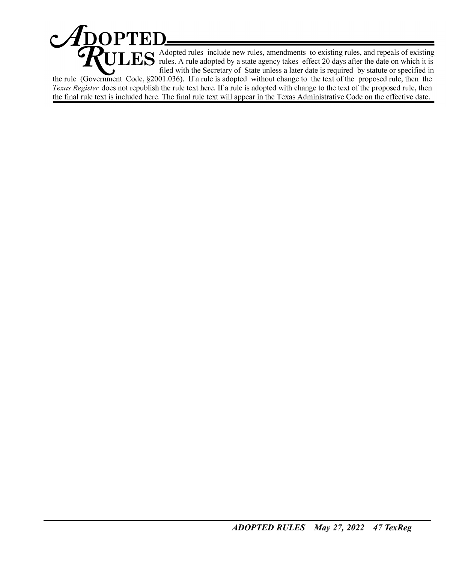$\mathcal{A}$ DOPTED  $\mathbf{ES}$  Adopted rules include new rules, amendments to existing rules, and repeals of existing rules. A rule adopted by a state agency takes effect 20 days after the date on which it is filed with the Secretary of State unless a later date is required by statute or specified in the rule (Government Code,  $\S 2001.036$ ). If a rule is adopted without change to the text of the proposed rule, then the Texas Register does not republish the rule text here. If a rule is adopted with change to the text of the proposed rule, then the final rule text is included here. The final rule text will appear in the Texas Administrative Code on the effective date.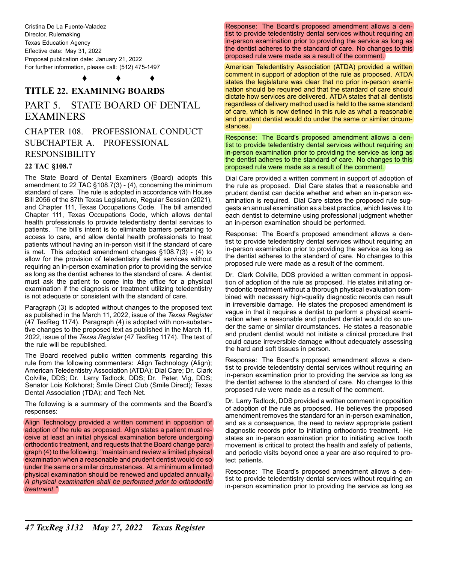Cristina De La Fuente-Valadez Director, Rulemaking Texas Education Agency Effective date: May 31, 2022 Proposal publication date: January 21, 2022 For further information, please call: (512) 475-1497

♦ ♦ ♦

# **TITLE 22. EXAMINING BOARDS**

## PART 5. STATE BOARD OF DENTAL EXAMINERS

## CHAPTER 108. PROFESSIONAL CONDUCT SUBCHAPTER A. PROFESSIONAL RESPONSIBILITY

### **22 TAC §108.7**

The State Board of Dental Examiners (Board) adopts this amendment to 22 TAC §108.7(3) - (4), concerning the minimum standard of care. The rule is adopted in accordance with House Bill 2056 of the 87th Texas Legislature, Regular Session (2021), and Chapter 111, Texas Occupations Code. The bill amended Chapter 111, Texas Occupations Code, which allows dental health professionals to provide teledentistry dental services to patients. The bill's intent is to eliminate barriers pertaining to access to care, and allow dental health professionals to treat patients without having an in-person visit if the standard of care is met. This adopted amendment changes §108.7(3) - (4) to allow for the provision of teledentistry dental services without requiring an in-person examination prior to providing the service as long as the dentist adheres to the standard of care. A dentist must ask the patient to come into the office for a physical examination if the diagnosis or treatment utilizing teledentistry is not adequate or consistent with the standard of care.

Paragraph (3) is adopted without changes to the proposed text as published in the March 11, 2022, issue of the *Texas Register* (47 TexReg 1174). Paragraph (4) is adopted with non-substantive changes to the proposed text as published in the March 11, 2022, issue of the *Texas Register* (47 TexReg 1174). The text of the rule will be republished.

The Board received public written comments regarding this rule from the following commenters: Align Technology (Align); American Teledentistry Association (ATDA); Dial Care; Dr. Clark Colville, DDS; Dr. Larry Tadlock, DDS; Dr. Peter, Vig, DDS; Senator Lois Kolkhorst; Smile Direct Club (Smile Direct); Texas Dental Association (TDA); and Tech Net.

The following is a summary of the comments and the Board's responses:

Align Technology provided a written comment in opposition of adoption of the rule as proposed. Align states a patient must receive at least an initial physical examination before undergoing orthodontic treatment, and requests that the Board change paragraph (4) to the following: "maintain and review a limited physical examination when a reasonable and prudent dentist would do so under the same or similar circumstances. At a minimum a limited physical examination should be renewed and updated annually. *A physical examination shall be performed prior to orthodontic treatment."*

Response: The Board's proposed amendment allows a dentist to provide teledentistry dental services without requiring an in-person examination prior to providing the service as long as the dentist adheres to the standard of care. No changes to this proposed rule were made as a result of the comment.

American Teledentistry Association (ATDA) provided a written comment in support of adoption of the rule as proposed. ATDA states the legislature was clear that no prior in-person examination should be required and that the standard of care should dictate how services are delivered. ATDA states that all dentists regardless of delivery method used is held to the same standard of care, which is now defined in this rule as what a reasonable and prudent dentist would do under the same or similar circumstances.

Response: The Board's proposed amendment allows a dentist to provide teledentistry dental services without requiring an in-person examination prior to providing the service as long as the dentist adheres to the standard of care. No changes to this proposed rule were made as a result of the comment.

Dial Care provided a written comment in support of adoption of the rule as proposed. Dial Care states that a reasonable and prudent dentist can decide whether and when an in-person examination is required. Dial Care states the proposed rule suggests an annual examination as a best practice, which leaves it to each dentist to determine using professional judgment whether an in-person examination should be performed.

Response: The Board's proposed amendment allows a dentist to provide teledentistry dental services without requiring an in-person examination prior to providing the service as long as the dentist adheres to the standard of care. No changes to this proposed rule were made as a result of the comment.

Dr. Clark Colville, DDS provided a written comment in opposition of adoption of the rule as proposed. He states initiating orthodontic treatment without a thorough physical evaluation combined with necessary high-quality diagnostic records can result in irreversible damage. He states the proposed amendment is vague in that it requires a dentist to perform a physical examination when a reasonable and prudent dentist would do so under the same or similar circumstances. He states a reasonable and prudent dentist would not initiate a clinical procedure that could cause irreversible damage without adequately assessing the hard and soft tissues in person.

Response: The Board's proposed amendment allows a dentist to provide teledentistry dental services without requiring an in-person examination prior to providing the service as long as the dentist adheres to the standard of care. No changes to this proposed rule were made as a result of the comment.

Dr. Larry Tadlock, DDS provided a written comment in opposition of adoption of the rule as proposed. He believes the proposed amendment removes the standard for an in-person examination, and as a consequence, the need to review appropriate patient diagnostic records prior to initiating orthodontic treatment. He states an in-person examination prior to initiating active tooth movement is critical to protect the health and safety of patients, and periodic visits beyond once a year are also required to protect patients.

Response: The Board's proposed amendment allows a dentist to provide teledentistry dental services without requiring an in-person examination prior to providing the service as long as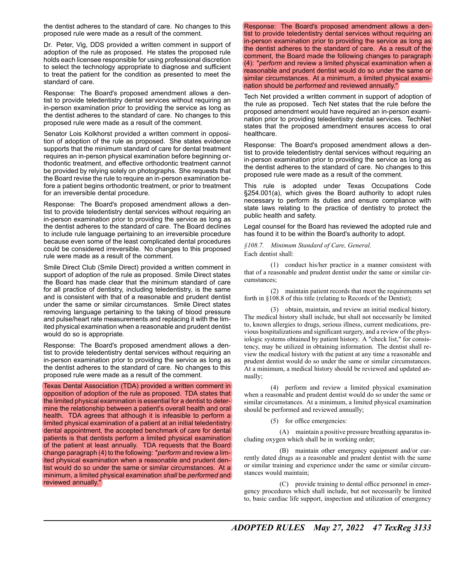the dentist adheres to the standard of care. No changes to this proposed rule were made as a result of the comment.

Dr. Peter, Vig, DDS provided a written comment in support of adoption of the rule as proposed. He states the proposed rule holds each licensee responsible for using professional discretion to select the technology appropriate to diagnose and sufficient to treat the patient for the condition as presented to meet the standard of care.

Response: The Board's proposed amendment allows a dentist to provide teledentistry dental services without requiring an in-person examination prior to providing the service as long as the dentist adheres to the standard of care. No changes to this proposed rule were made as a result of the comment.

Senator Lois Kolkhorst provided a written comment in opposition of adoption of the rule as proposed. She states evidence supports that the minimum standard of care for dental treatment requires an in-person physical examination before beginning orthodontic treatment, and effective orthodontic treatment cannot be provided by relying solely on photographs. She requests that the Board revise the rule to require an in-person examination before a patient begins orthodontic treatment, or prior to treatment for an irreversible dental procedure.

Response: The Board's proposed amendment allows a dentist to provide teledentistry dental services without requiring an in-person examination prior to providing the service as long as the dentist adheres to the standard of care. The Board declines to include rule language pertaining to an irreversible procedure because even some of the least complicated dental procedures could be considered irreversible. No changes to this proposed rule were made as a result of the comment.

Smile Direct Club (Smile Direct) provided a written comment in support of adoption of the rule as proposed. Smile Direct states the Board has made clear that the minimum standard of care for all practice of dentistry, including teledentistry, is the same and is consistent with that of a reasonable and prudent dentist under the same or similar circumstances. Smile Direct states removing language pertaining to the taking of blood pressure and pulse/heart rate measurements and replacing it with the limited physical examination when a reasonable and prudent dentist would do so is appropriate.

Response: The Board's proposed amendment allows a dentist to provide teledentistry dental services without requiring an in-person examination prior to providing the service as long as the dentist adheres to the standard of care. No changes to this proposed rule were made as a result of the comment.

Texas Dental Association (TDA) provided a written comment in opposition of adoption of the rule as proposed. TDA states that the limited physical examination is essential for a dentist to determine the relationship between a patient's overall health and oral health. TDA agrees that although it is infeasible to perform a limited physical examination of a patient at an initial teledentistry dental appointment, the accepted benchmark of care for dental patients is that dentists perform a limited physical examination of the patient at least annually. TDA requests that the Board change paragraph (4) to the following: "*perform* and review a limited physical examination when a reasonable and prudent dentist would do so under the same or similar circumstances. At a minimum, a limited physical examination *shall* be *performed* and reviewed annually."

Response: The Board's proposed amendment allows a dentist to provide teledentistry dental services without requiring an in-person examination prior to providing the service as long as the dentist adheres to the standard of care. As a result of the comment, the Board made the following changes to paragraph (4): "*perform* and review a limited physical examination when a reasonable and prudent dentist would do so under the same or similar circumstances. At a minimum, a limited physical examination should be *performed* and reviewed annually."

Tech Net provided a written comment in support of adoption of the rule as proposed. Tech Net states that the rule before the proposed amendment would have required an in-person examination prior to providing teledentistry dental services. TechNet states that the proposed amendment ensures access to oral healthcare.

Response: The Board's proposed amendment allows a dentist to provide teledentistry dental services without requiring an in-person examination prior to providing the service as long as the dentist adheres to the standard of care. No changes to this proposed rule were made as a result of the comment.

This rule is adopted under Texas Occupations Code §254.001(a), which gives the Board authority to adopt rules necessary to perform its duties and ensure compliance with state laws relating to the practice of dentistry to protect the public health and safety.

Legal counsel for the Board has reviewed the adopted rule and has found it to be within the Board's authority to adopt.

*§108.7. Minimum Standard of Care, General.* Each dentist shall:

(1) conduct his/her practice in a manner consistent with that of a reasonable and prudent dentist under the same or similar circumstances;

(2) maintain patient records that meet the requirements set forth in §108.8 of this title (relating to Records of the Dentist);

(3) obtain, maintain, and review an initial medical history. The medical history shall include, but shall not necessarily be limited to, known allergies to drugs, serious illness, current medications, previous hospitalizations and significant surgery, and a review of the physiologic systems obtained by patient history. A "check list," for consistency, may be utilized in obtaining information. The dentist shall review the medical history with the patient at any time a reasonable and prudent dentist would do so under the same or similar circumstances. At a minimum, a medical history should be reviewed and updated annually;

(4) perform and review a limited physical examination when a reasonable and prudent dentist would do so under the same or similar circumstances. At a minimum, a limited physical examination should be performed and reviewed annually;

(5) for office emergencies:

(A) maintain a positive pressure breathing apparatus including oxygen which shall be in working order;

(B) maintain other emergency equipment and/or currently dated drugs as a reasonable and prudent dentist with the same or similar training and experience under the same or similar circumstances would maintain;

(C) provide training to dental office personnel in emergency procedures which shall include, but not necessarily be limited to, basic cardiac life support, inspection and utilization of emergency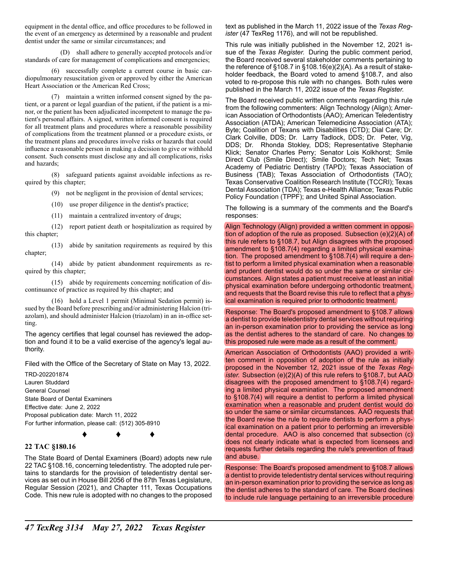equipment in the dental office, and office procedures to be followed in the event of an emergency as determined by a reasonable and prudent dentist under the same or similar circumstances; and

(D) shall adhere to generally accepted protocols and/or standards of care for management of complications and emergencies;

(6) successfully complete a current course in basic cardiopulmonary resuscitation given or approved by either the American Heart Association or the American Red Cross;

(7) maintain a written informed consent signed by the patient, or a parent or legal guardian of the patient, if the patient is a minor, or the patient has been adjudicated incompetent to manage the patient's personal affairs. A signed, written informed consent is required for all treatment plans and procedures where a reasonable possibility of complications from the treatment planned or a procedure exists, or the treatment plans and procedures involve risks or hazards that could influence a reasonable person in making a decision to give or withhold consent. Such consents must disclose any and all complications, risks and hazards;

(8) safeguard patients against avoidable infections as required by this chapter;

(9) not be negligent in the provision of dental services;

(10) use proper diligence in the dentist's practice;

(11) maintain a centralized inventory of drugs;

(12) report patient death or hospitalization as required by this chapter;

(13) abide by sanitation requirements as required by this chapter;

(14) abide by patient abandonment requirements as required by this chapter;

(15) abide by requirements concerning notification of discontinuance of practice as required by this chapter; and

(16) hold a Level 1 permit (Minimal Sedation permit) issued by the Board before prescribing and/or administering Halcion (triazolam), and should administer Halcion (triazolam) in an in-office setting.

The agency certifies that legal counsel has reviewed the adoption and found it to be a valid exercise of the agency's legal authority.

Filed with the Office of the Secretary of State on May 13, 2022.

TRD-202201874 Lauren Studdard General Counsel State Board of Dental Examiners Effective date: June 2, 2022 Proposal publication date: March 11, 2022 For further information, please call: (512) 305-8910

♦ ♦ ♦

#### **22 TAC §180.16**

The State Board of Dental Examiners (Board) adopts new rule 22 TAC §108.16, concerning teledentistry. The adopted rule pertains to standards for the provision of teledentistry dental services as set out in House Bill 2056 of the 87th Texas Legislature, Regular Session (2021), and Chapter 111, Texas Occupations Code. This new rule is adopted with no changes to the proposed text as published in the March 11, 2022 issue of the *Texas Register* (47 TexReg 1176), and will not be republished.

This rule was initially published in the November 12, 2021 issue of the *Texas Register.* During the public comment period, the Board received several stakeholder comments pertaining to the reference of §108.7 in §108.16(e)(2)(A). As a result of stakeholder feedback, the Board voted to amend §108.7, and also voted to re-propose this rule with no changes. Both rules were published in the March 11, 2022 issue of the *Texas Register.*

The Board received public written comments regarding this rule from the following commenters: Align Technology (Align); American Association of Orthodontists (AAO); American Teledentistry Association (ATDA); American Telemedicine Association (ATA); Byte; Coalition of Texans with Disabilities (CTD); Dial Care; Dr. Clark Colville, DDS; Dr. Larry Tadlock, DDS; Dr. Peter, Vig, DDS; Dr. Rhonda Stokley, DDS; Representative Stephanie Klick; Senator Charles Perry; Senator Lois Kolkhorst; Smile Direct Club (Smile Direct); Smile Doctors; Tech Net; Texas Academy of Pediatric Dentistry (TAPD); Texas Association of Business (TAB); Texas Association of Orthodontists (TAO); Texas Conservative Coalition Research Institute (TCCRI); Texas Dental Association (TDA); Texas e-Health Alliance; Texas Public Policy Foundation (TPPF); and United Spinal Association.

The following is a summary of the comments and the Board's responses:

Align Technology (Align) provided a written comment in opposition of adoption of the rule as proposed. Subsection (e)(2)(A) of this rule refers to §108.7, but Align disagrees with the proposed amendment to §108.7(4) regarding a limited physical examination. The proposed amendment to §108.7(4) will require a dentist to perform a limited physical examination when a reasonable and prudent dentist would do so under the same or similar circumstances. Align states a patient must receive at least an initial physical examination before undergoing orthodontic treatment, and requests that the Board revise this rule to reflect that a physical examination is required prior to orthodontic treatment.

Response: The Board's proposed amendment to §108.7 allows a dentist to provide teledentistry dental services without requiring an in-person examination prior to providing the service as long as the dentist adheres to the standard of care. No changes to this proposed rule were made as a result of the comment.

American Association of Orthodontists (AAO) provided a written comment in opposition of adoption of the rule as initially proposed in the November 12, 2021 issue of the *Texas Register.* Subsection (e)(2)(A) of this rule refers to §108.7, but AAO disagrees with the proposed amendment to §108.7(4) regarding a limited physical examination. The proposed amendment to §108.7(4) will require a dentist to perform a limited physical examination when a reasonable and prudent dentist would do so under the same or similar circumstances. AAO requests that the Board revise the rule to require dentists to perform a physical examination on a patient prior to performing an irreversible dental procedure. AAO is also concerned that subsection (c) does not clearly indicate what is expected from licensees and requests further details regarding the rule's prevention of fraud and abuse.

Response: The Board's proposed amendment to §108.7 allows a dentist to provide teledentistry dental services without requiring an in-person examination prior to providing the service as long as the dentist adheres to the standard of care. The Board declines to include rule language pertaining to an irreversible procedure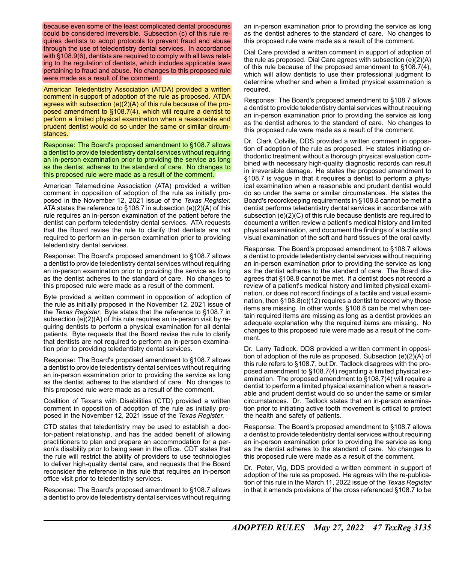because even some of the least complicated dental procedures could be considered irreversible. Subsection (c) of this rule requires dentists to adopt protocols to prevent fraud and abuse through the use of teledentistry dental services. In accordance with §108.9(6), dentists are required to comply with all laws relating to the regulation of dentists, which includes applicable laws pertaining to fraud and abuse. No changes to this proposed rule were made as a result of the comment.

American Teledentistry Association (ATDA) provided a written comment in support of adoption of the rule as proposed. ATDA agrees with subsection (e)(2)(A) of this rule because of the proposed amendment to §108.7(4), which will require a dentist to perform a limited physical examination when a reasonable and prudent dentist would do so under the same or similar circumstances.

Response: The Board's proposed amendment to §108.7 allows a dentist to provide teledentistry dental services without requiring an in-person examination prior to providing the service as long as the dentist adheres to the standard of care. No changes to this proposed rule were made as a result of the comment.

American Telemedicine Association (ATA) provided a written comment in opposition of adoption of the rule as initially proposed in the November 12, 2021 issue of the *Texas Register.* ATA states the reference to §108.7 in subsection (e)(2)(A) of this rule requires an in-person examination of the patient before the dentist can perform teledentistry dental services. ATA requests that the Board revise the rule to clarify that dentists are not required to perform an in-person examination prior to providing teledentistry dental services.

Response: The Board's proposed amendment to §108.7 allows a dentist to provide teledentistry dental services without requiring an in-person examination prior to providing the service as long as the dentist adheres to the standard of care. No changes to this proposed rule were made as a result of the comment.

Byte provided a written comment in opposition of adoption of the rule as initially proposed in the November 12, 2021 issue of the *Texas Register.* Byte states that the reference to §108.7 in subsection (e)(2)(A) of this rule requires an in-person visit by requiring dentists to perform a physical examination for all dental patients. Byte requests that the Board revise the rule to clarify that dentists are not required to perform an in-person examination prior to providing teledentistry dental services.

Response: The Board's proposed amendment to §108.7 allows a dentist to provide teledentistry dental services without requiring an in-person examination prior to providing the service as long as the dentist adheres to the standard of care. No changes to this proposed rule were made as a result of the comment.

Coalition of Texans with Disabilities (CTD) provided a written comment in opposition of adoption of the rule as initially proposed in the November 12, 2021 issue of the *Texas Register.*

CTD states that teledentistry may be used to establish a doctor-patient relationship, and has the added benefit of allowing practitioners to plan and prepare an accommodation for a person's disability prior to being seen in the office. CDT states that the rule will restrict the ability of providers to use technologies to deliver high-quality dental care, and requests that the Board reconsider the reference in this rule that requires an in-person office visit prior to teledentistry services.

Response: The Board's proposed amendment to §108.7 allows a dentist to provide teledentistry dental services without requiring an in-person examination prior to providing the service as long as the dentist adheres to the standard of care. No changes to this proposed rule were made as a result of the comment.

Dial Care provided a written comment in support of adoption of the rule as proposed. Dial Care agrees with subsection (e)(2)(A) of this rule because of the proposed amendment to §108.7(4), which will allow dentists to use their professional judgment to determine whether and when a limited physical examination is required.

Response: The Board's proposed amendment to §108.7 allows a dentist to provide teledentistry dental services without requiring an in-person examination prior to providing the service as long as the dentist adheres to the standard of care. No changes to this proposed rule were made as a result of the comment.

Dr. Clark Colville, DDS provided a written comment in opposition of adoption of the rule as proposed. He states initiating orthodontic treatment without a thorough physical evaluation combined with necessary high-quality diagnostic records can result in irreversible damage. He states the proposed amendment to §108.7 is vague in that it requires a dentist to perform a physical examination when a reasonable and prudent dentist would do so under the same or similar circumstances. He states the Board's recordkeeping requirements in §108.8 cannot be met if a dentist performs teledentistry dental services in accordance with subsection (e)(2)(C) of this rule because dentists are required to document a written review a patient's medical history and limited physical examination, and document the findings of a tactile and visual examination of the soft and hard tissues of the oral cavity.

Response: The Board's proposed amendment to §108.7 allows a dentist to provide teledentistry dental services without requiring an in-person examination prior to providing the service as long as the dentist adheres to the standard of care. The Board disagrees that §108.8 cannot be met. If a dentist does not record a review of a patient's medical history and limited physical examination, or does not record findings of a tactile and visual examination, then §108.8(c)(12) requires a dentist to record why those items are missing. In other words, §108.8 can be met when certain required items are missing as long as a dentist provides an adequate explanation why the required items are missing. No changes to this proposed rule were made as a result of the comment.

Dr. Larry Tadlock, DDS provided a written comment in opposition of adoption of the rule as proposed. Subsection (e)(2)(A) of this rule refers to §108.7, but Dr. Tadlock disagrees with the proposed amendment to §108.7(4) regarding a limited physical examination. The proposed amendment to §108.7(4) will require a dentist to perform a limited physical examination when a reasonable and prudent dentist would do so under the same or similar circumstances. Dr. Tadlock states that an in-person examination prior to initiating active tooth movement is critical to protect the health and safety of patients.

Response: The Board's proposed amendment to §108.7 allows a dentist to provide teledentistry dental services without requiring an in-person examination prior to providing the service as long as the dentist adheres to the standard of care. No changes to this proposed rule were made as a result of the comment.

Dr. Peter, Vig, DDS provided a written comment in support of adoption of the rule as proposed. He agrees with the re-publication of this rule in the March 11, 2022 issue of the *Texas Register* in that it amends provisions of the cross referenced §108.7 to be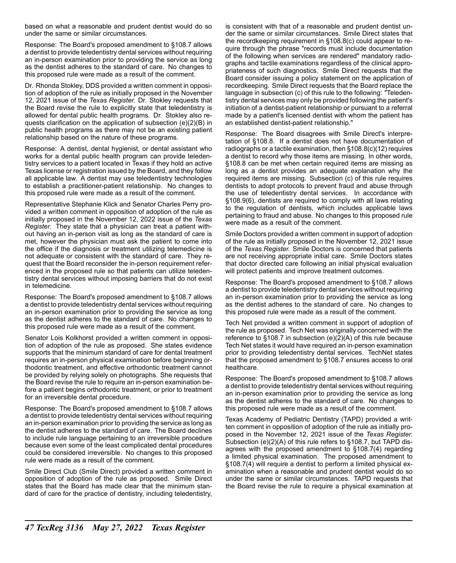based on what a reasonable and prudent dentist would do so under the same or similar circumstances.

Response: The Board's proposed amendment to §108.7 allows a dentist to provide teledentistry dental services without requiring an in-person examination prior to providing the service as long as the dentist adheres to the standard of care. No changes to this proposed rule were made as a result of the comment.

Dr. Rhonda Stokley, DDS provided a written comment in opposition of adoption of the rule as initially proposed in the November 12, 2021 issue of the *Texas Register.* Dr. Stokley requests that the Board revise the rule to explicitly state that teledentistry is allowed for dental public health programs. Dr. Stokley also requests clarification on the application of subsection (e)(2)(B) in public health programs as there may not be an existing patient relationship based on the nature of these programs.

Response: A dentist, dental hygienist, or dental assistant who works for a dental public health program can provide teledentistry services to a patient located in Texas if they hold an active Texas license or registration issued by the Board, and they follow all applicable law. A dentist may use teledentistry technologies to establish a practitioner-patient relationship. No changes to this proposed rule were made as a result of the comment.

Representative Stephanie Klick and Senator Charles Perry provided a written comment in opposition of adoption of the rule as initially proposed in the November 12, 2022 issue of the *Texas Register.* They state that a physician can treat a patient without having an in-person visit as long as the standard of care is met, however the physician must ask the patient to come into the office if the diagnosis or treatment utilizing telemedicine is not adequate or consistent with the standard of care. They request that the Board reconsider the in-person requirement referenced in the proposed rule so that patients can utilize teledentistry dental services without imposing barriers that do not exist in telemedicine.

Response: The Board's proposed amendment to §108.7 allows a dentist to provide teledentistry dental services without requiring an in-person examination prior to providing the service as long as the dentist adheres to the standard of care. No changes to this proposed rule were made as a result of the comment.

Senator Lois Kolkhorst provided a written comment in opposition of adoption of the rule as proposed. She states evidence supports that the minimum standard of care for dental treatment requires an in-person physical examination before beginning orthodontic treatment, and effective orthodontic treatment cannot be provided by relying solely on photographs. She requests that the Board revise the rule to require an in-person examination before a patient begins orthodontic treatment, or prior to treatment for an irreversible dental procedure.

Response: The Board's proposed amendment to §108.7 allows a dentist to provide teledentistry dental services without requiring an in-person examination prior to providing the service as long as the dentist adheres to the standard of care. The Board declines to include rule language pertaining to an irreversible procedure because even some of the least complicated dental procedures could be considered irreversible. No changes to this proposed rule were made as a result of the comment.

Smile Direct Club (Smile Direct) provided a written comment in opposition of adoption of the rule as proposed. Smile Direct states that the Board has made clear that the minimum standard of care for the practice of dentistry, including teledentistry, is consistent with that of a reasonable and prudent dentist under the same or similar circumstances. Smile Direct states that the recordkeeping requirement in §108.8(c) could appear to require through the phrase "records must include documentation of the following when services are rendered" mandatory radiographs and tactile examinations regardless of the clinical appropriateness of such diagnostics. Smile Direct requests that the Board consider issuing a policy statement on the application of recordkeeping. Smile Direct requests that the Board replace the language in subsection (c) of this rule to the following: "Teledentistry dental services may only be provided following the patient's initiation of a dentist-patient relationship or pursuant to a referral made by a patient's licensed dentist with whom the patient has an established dentist-patient relationship."

Response: The Board disagrees with Smile Direct's interpretation of §108.8. If a dentist does not have documentation of radiographs or a tactile examination, then §108.8(c)(12) requires a dentist to record why those items are missing. In other words, §108.8 can be met when certain required items are missing as long as a dentist provides an adequate explanation why the required items are missing. Subsection (c) of this rule requires dentists to adopt protocols to prevent fraud and abuse through the use of teledentistry dental services. In accordance with §108.9(6), dentists are required to comply with all laws relating to the regulation of dentists, which includes applicable laws pertaining to fraud and abuse. No changes to this proposed rule were made as a result of the comment.

Smile Doctors provided a written comment in support of adoption of the rule as initially proposed in the November 12, 2021 issue of the *Texas Register.* Smile Doctors is concerned that patients are not receiving appropriate initial care. Smile Doctors states that doctor directed care following an initial physical evaluation will protect patients and improve treatment outcomes.

Response: The Board's proposed amendment to §108.7 allows a dentist to provide teledentistry dental services without requiring an in-person examination prior to providing the service as long as the dentist adheres to the standard of care. No changes to this proposed rule were made as a result of the comment.

Tech Net provided a written comment in support of adoption of the rule as proposed. Tech Net was originally concerned with the reference to §108.7 in subsection (e)(2)(A) of this rule because Tech Net states it would have required an in-person examination prior to providing teledentistry dental services. TechNet states that the proposed amendment to §108.7 ensures access to oral healthcare.

Response: The Board's proposed amendment to §108.7 allows a dentist to provide teledentistry dental services without requiring an in-person examination prior to providing the service as long as the dentist adheres to the standard of care. No changes to this proposed rule were made as a result of the comment.

Texas Academy of Pediatric Dentistry (TAPD) provided a written comment in opposition of adoption of the rule as initially proposed in the November 12, 2021 issue of the *Texas Register.* Subsection (e)(2)(A) of this rule refers to §108.7, but TAPD disagrees with the proposed amendment to §108.7(4) regarding a limited physical examination. The proposed amendment to §108.7(4) will require a dentist to perform a limited physical examination when a reasonable and prudent dentist would do so under the same or similar circumstances. TAPD requests that the Board revise the rule to require a physical examination at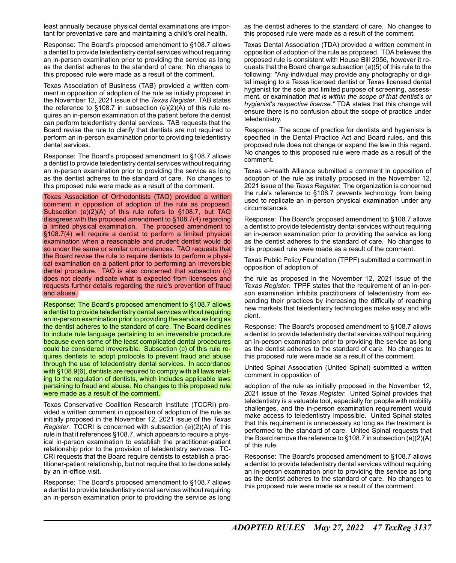least annually because physical dental examinations are important for preventative care and maintaining a child's oral health.

Response: The Board's proposed amendment to §108.7 allows a dentist to provide teledentistry dental services without requiring an in-person examination prior to providing the service as long as the dentist adheres to the standard of care. No changes to this proposed rule were made as a result of the comment.

Texas Association of Business (TAB) provided a written comment in opposition of adoption of the rule as initially proposed in the November 12, 2021 issue of the *Texas Register.* TAB states the reference to §108.7 in subsection (e)(2)(A) of this rule requires an in-person examination of the patient before the dentist can perform teledentistry dental services. TAB requests that the Board revise the rule to clarify that dentists are not required to perform an in-person examination prior to providing teledentistry dental services.

Response: The Board's proposed amendment to §108.7 allows a dentist to provide teledentistry dental services without requiring an in-person examination prior to providing the service as long as the dentist adheres to the standard of care. No changes to this proposed rule were made as a result of the comment.

Texas Association of Orthodontists (TAO) provided a written comment in opposition of adoption of the rule as proposed. Subsection (e)(2)(A) of this rule refers to §108.7, but TAO disagrees with the proposed amendment to §108.7(4) regarding a limited physical examination. The proposed amendment to §108.7(4) will require a dentist to perform a limited physical examination when a reasonable and prudent dentist would do so under the same or similar circumstances. TAO requests that the Board revise the rule to require dentists to perform a physical examination on a patient prior to performing an irreversible dental procedure. TAO is also concerned that subsection (c) does not clearly indicate what is expected from licensees and requests further details regarding the rule's prevention of fraud and abuse.

Response: The Board's proposed amendment to §108.7 allows a dentist to provide teledentistry dental services without requiring an in-person examination prior to providing the service as long as the dentist adheres to the standard of care. The Board declines to include rule language pertaining to an irreversible procedure because even some of the least complicated dental procedures could be considered irreversible. Subsection (c) of this rule requires dentists to adopt protocols to prevent fraud and abuse through the use of teledentistry dental services. In accordance with §108.9(6), dentists are required to comply with all laws relating to the regulation of dentists, which includes applicable laws pertaining to fraud and abuse. No changes to this proposed rule were made as a result of the comment.

Texas Conservative Coalition Research Institute (TCCRI) provided a written comment in opposition of adoption of the rule as initially proposed in the November 12, 2021 issue of the *Texas Register.* TCCRI is concerned with subsection (e)(2)(A) of this rule in that it references §108.7, which appears to require a physical in-person examination to establish the practitioner-patient relationship prior to the provision of teledentistry services. TC-CRI requests that the Board require dentists to establish a practitioner-patient relationship, but not require that to be done solely by an in-office visit.

Response: The Board's proposed amendment to §108.7 allows a dentist to provide teledentistry dental services without requiring an in-person examination prior to providing the service as long as the dentist adheres to the standard of care. No changes to this proposed rule were made as a result of the comment.

Texas Dental Association (TDA) provided a written comment in opposition of adoption of the rule as proposed. TDA believes the proposed rule is consistent with House Bill 2056, however it requests that the Board change subsection (e)(5) of this rule to the following: "Any individual may provide any photography or digital imaging to a Texas licensed dentist or Texas licensed dental hygienist for the sole and limited purpose of screening, assessment, or examination *that is within the scope of that dentist's or hygienist's respective license."* TDA states that this change will ensure there is no confusion about the scope of practice under teledentistry.

Response: The scope of practice for dentists and hygienists is specified in the Dental Practice Act and Board rules, and this proposed rule does not change or expand the law in this regard. No changes to this proposed rule were made as a result of the comment.

Texas e-Health Alliance submitted a comment in opposition of adoption of the rule as initially proposed in the November 12, 2021 issue of the *Texas Register.* The organization is concerned the rule's reference to §108.7 prevents technology from being used to replicate an in-person physical examination under any circumstances.

Response: The Board's proposed amendment to §108.7 allows a dentist to provide teledentistry dental services without requiring an in-person examination prior to providing the service as long as the dentist adheres to the standard of care. No changes to this proposed rule were made as a result of the comment.

Texas Public Policy Foundation (TPPF) submitted a comment in opposition of adoption of

the rule as proposed in the November 12, 2021 issue of the *Texas Register.* TPPF states that the requirement of an in-person examination inhibits practitioners of teledentistry from expanding their practices by increasing the difficulty of reaching new markets that teledentistry technologies make easy and efficient.

Response: The Board's proposed amendment to §108.7 allows a dentist to provide teledentistry dental services without requiring an in-person examination prior to providing the service as long as the dentist adheres to the standard of care. No changes to this proposed rule were made as a result of the comment.

United Spinal Association (United Spinal) submitted a written comment in opposition of

adoption of the rule as initially proposed in the November 12, 2021 issue of the *Texas Register*. United Spinal provides that teledentistry is a valuable tool, especially for people with mobility challenges, and the in-person examination requirement would make access to teledentistry impossible. United Spinal states that this requirement is unnecessary so long as the treatment is performed to the standard of care. United Spinal requests that the Board remove the reference to §108.7 in subsection (e)(2)(A) of this rule.

Response: The Board's proposed amendment to §108.7 allows a dentist to provide teledentistry dental services without requiring an in-person examination prior to providing the service as long as the dentist adheres to the standard of care. No changes to this proposed rule were made as a result of the comment.